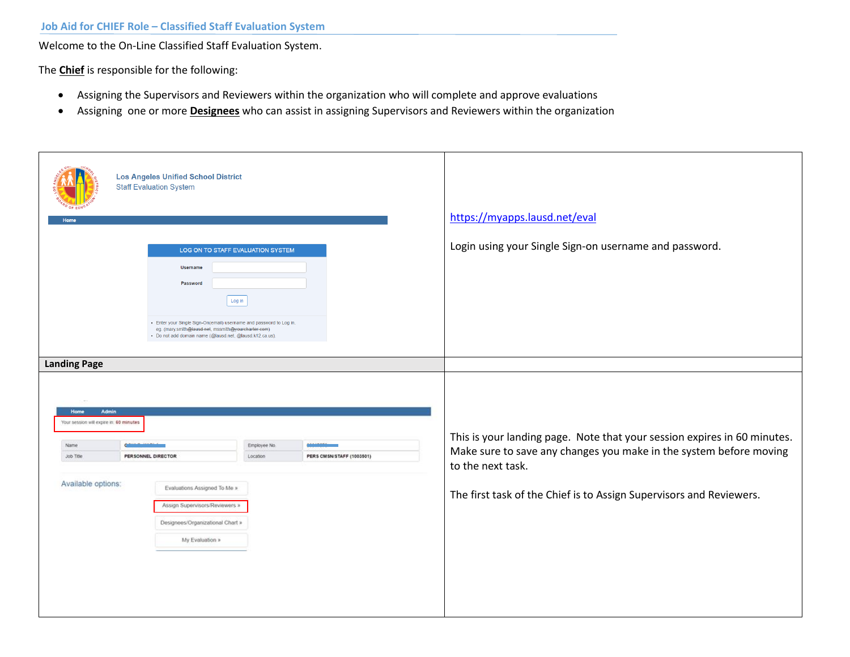Welcome to the On-Line Classified Staff Evaluation System.

The **Chief** is responsible for the following:

- Assigning the Supervisors and Reviewers within the organization who will complete and approve evaluations
- Assigning one or more **Designees** who can assist in assigning Supervisors and Reviewers within the organization

|                                                                                        | <b>Los Angeles Unified School District</b><br><b>Staff Evaluation System</b>                                                                                                           |                                   |                           | https://myapps.lausd.net/eval                                            |
|----------------------------------------------------------------------------------------|----------------------------------------------------------------------------------------------------------------------------------------------------------------------------------------|-----------------------------------|---------------------------|--------------------------------------------------------------------------|
|                                                                                        |                                                                                                                                                                                        |                                   |                           |                                                                          |
|                                                                                        |                                                                                                                                                                                        | LOG ON TO STAFF EVALUATION SYSTEM |                           | Login using your Single Sign-on username and password.                   |
|                                                                                        | Username                                                                                                                                                                               |                                   |                           |                                                                          |
|                                                                                        | Password                                                                                                                                                                               |                                   |                           |                                                                          |
|                                                                                        |                                                                                                                                                                                        | Log in                            |                           |                                                                          |
|                                                                                        | - Enter your Single Sign-On(email) username and password to Log in.<br>eg. (mary.smith@lausd.net, mssmith@yourcharter.com)<br>· Do not add domain name (@lausd.net, @lausd.k12.ca.us). |                                   |                           |                                                                          |
| <b>Landing Page</b><br><b>Admin</b><br>Home<br>Your session will expire in: 60 minutes |                                                                                                                                                                                        |                                   |                           | This is your landing page. Note that your session expires in 60 minutes. |
| <b>Name</b>                                                                            |                                                                                                                                                                                        | Employee No.                      |                           | Make sure to save any changes you make in the system before moving       |
| Job Title                                                                              | PERSONNEL DIRECTOR                                                                                                                                                                     | Location                          | PERS CMSN/STAFF (1003501) | to the next task.                                                        |
| Available options:                                                                     | Evaluations Assigned To Me »                                                                                                                                                           |                                   |                           | The first task of the Chief is to Assign Supervisors and Reviewers.      |
|                                                                                        | Assign Supervisors/Reviewers »                                                                                                                                                         |                                   |                           |                                                                          |
|                                                                                        | Designees/Organizational Chart »                                                                                                                                                       |                                   |                           |                                                                          |
|                                                                                        | My Evaluation »                                                                                                                                                                        |                                   |                           |                                                                          |
|                                                                                        |                                                                                                                                                                                        |                                   |                           |                                                                          |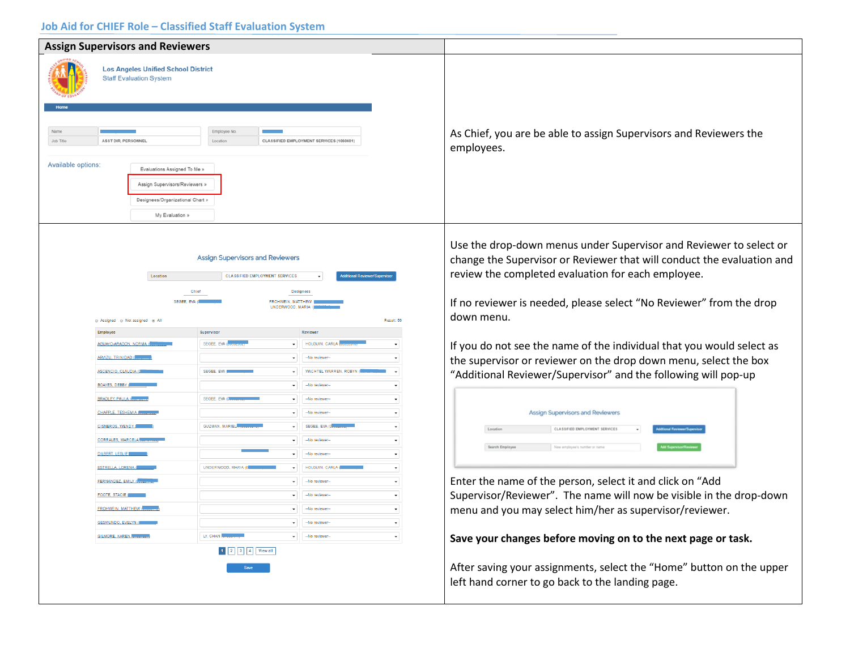| <b>Assign Supervisors and Reviewers</b>                                                                                                                                                                                                                                 |                                                                                                                                                             |                                                                                                                                                                                                                                      |                                                                                                                                                                                                                                                                                         |
|-------------------------------------------------------------------------------------------------------------------------------------------------------------------------------------------------------------------------------------------------------------------------|-------------------------------------------------------------------------------------------------------------------------------------------------------------|--------------------------------------------------------------------------------------------------------------------------------------------------------------------------------------------------------------------------------------|-----------------------------------------------------------------------------------------------------------------------------------------------------------------------------------------------------------------------------------------------------------------------------------------|
| <b>Los Angeles Unified School District</b><br><b>Staff Evaluation System</b><br>Name<br>Job Title<br>ASST DIR, PERSONNEL<br>Available options:<br>Evaluations Assigned To Me »<br>Assign Supervisors/Reviewers »<br>Designees/Organizational Chart »<br>My Evaluation » | Employee No<br>Location                                                                                                                                     | CLASSIFIED EMPLOYMENT SERVICES (1060601)                                                                                                                                                                                             | As Chief, you are be able to assign Supervisors and Reviewers the<br>employees.                                                                                                                                                                                                         |
| Location<br>Chief<br>SEGEE, EVA (O<br>@ Assigned @ Not assigned @ All<br>Employee                                                                                                                                                                                       | <b>Assign Supervisors and Reviewers</b><br><b>CLASSIFIED EMPLOYMENT SERVICES</b><br><b>Designees</b><br>FROHWEIN, MATTHEW<br>UNDERWOOD, MARIA<br>Supervisor | tional Reviewer/Superv<br>Result: 56<br>Reviewer                                                                                                                                                                                     | Use the drop-down menus under Supervisor and Reviewer to select or<br>change the Supervisor or Reviewer that will conduct the evaluation and<br>review the completed evaluation for each employee.<br>If no reviewer is needed, please select "No Reviewer" from the drop<br>down menu. |
| <b>AGUAYO-ARAGON, NORMA (O</b><br>ARVIZU, TRINIDAD (<br>ASCENCIO, CLAUDIA (0)                                                                                                                                                                                           | SEGEE, EVA (OU<br>SEGEE, EVA                                                                                                                                | HOLGUIN, CARLA (<br>-No reviewer-<br>WACHTEL WARREN, ROBYN (                                                                                                                                                                         | If you do not see the name of the individual that you would select as<br>the supervisor or reviewer on the drop down menu, select the box<br>"Additional Reviewer/Supervisor" and the following will pop-up                                                                             |
| BOAYES, DEBBY (<br><b>BRADLEY, PAULA (OR</b><br>CHAPPLE, TESHEMIA (<br><b>CISNEROS, WENDY (M)</b><br><b>CORRALES, MARCELA II</b><br>DILBERT, LESLIE COMMA<br><b>ESTRELLA, LORENA (B)</b>                                                                                | SEGEE, EVA (000)<br><b>GUZMAN, MARIEL</b><br>UNDERWOOD, MARIA (08                                                                                           | -No reviewer<br>-No reviewer-<br>$\check{}$<br>-No reviewer<br>$\check{}$<br>SEGEE, EVA (0<br>$\overline{\phantom{a}}$<br>-No reviewer-<br>$\overline{\phantom{a}}$<br>-No reviewer-<br>$\check{}$<br>HOLGUIN, CARLA (<br>$\check{}$ | Assign Supervisors and Reviewers<br>CLASSIFIED EMPLOYMENT SERVICES<br>Location<br><b>Search Employee</b><br>New employee's number or name                                                                                                                                               |
| FERNANDEZ, EMILY (0.<br><b>FOOTE, STACIE (888</b><br><b>FROHWEIN, MATTHEW (WWW</b><br><b>GESMUNDO, EVELYN (QARABA)</b><br>GILMORE, KAREN                                                                                                                                | LY, CHAN                                                                                                                                                    | -No reviewer-<br>$\check{}$<br>-No reviewer-<br>-No reviewer-<br>$\bullet$ -No reviewer-<br>$\check{\phantom{a}}$                                                                                                                    | Enter the name of the person, select it and click on "Add<br>Supervisor/Reviewer". The name will now be visible in the drop-down<br>menu and you may select him/her as supervisor/reviewer.                                                                                             |
|                                                                                                                                                                                                                                                                         | 1 2 3 4 View all<br>Save                                                                                                                                    | -No reviewer-<br>$\check{}$                                                                                                                                                                                                          | Save your changes before moving on to the next page or task.<br>After saving your assignments, select the "Home" button on the upper<br>left hand corner to go back to the landing page.                                                                                                |